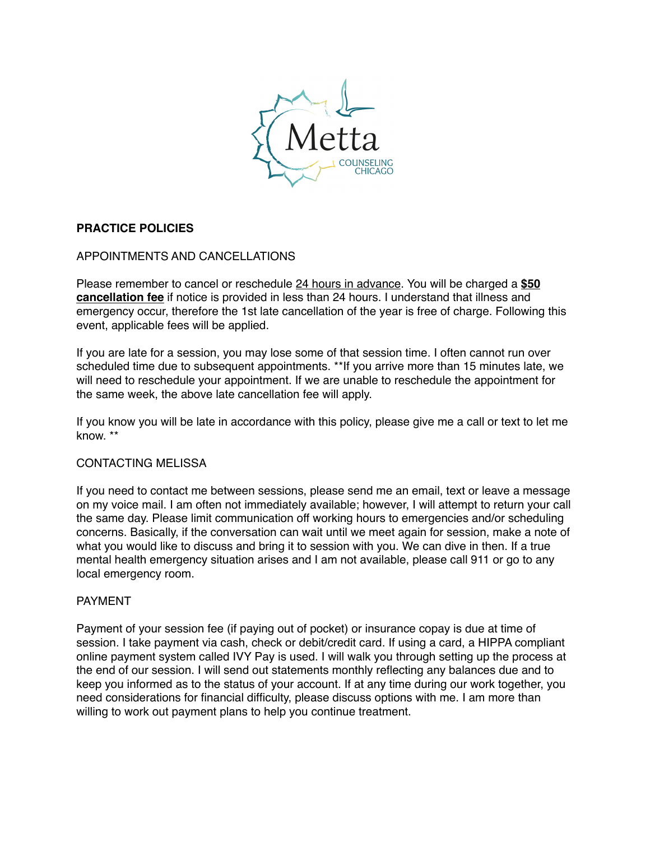

# **PRACTICE POLICIES**

# APPOINTMENTS AND CANCELLATIONS

Please remember to cancel or reschedule 24 hours in advance. You will be charged a **\$50 cancellation fee** if notice is provided in less than 24 hours. I understand that illness and emergency occur, therefore the 1st late cancellation of the year is free of charge. Following this event, applicable fees will be applied.

If you are late for a session, you may lose some of that session time. I often cannot run over scheduled time due to subsequent appointments. \*\*If you arrive more than 15 minutes late, we will need to reschedule your appointment. If we are unable to reschedule the appointment for the same week, the above late cancellation fee will apply.

If you know you will be late in accordance with this policy, please give me a call or text to let me know. \*\*

### CONTACTING MELISSA

If you need to contact me between sessions, please send me an email, text or leave a message on my voice mail. I am often not immediately available; however, I will attempt to return your call the same day. Please limit communication off working hours to emergencies and/or scheduling concerns. Basically, if the conversation can wait until we meet again for session, make a note of what you would like to discuss and bring it to session with you. We can dive in then. If a true mental health emergency situation arises and I am not available, please call 911 or go to any local emergency room.

### PAYMENT

Payment of your session fee (if paying out of pocket) or insurance copay is due at time of session. I take payment via cash, check or debit/credit card. If using a card, a HIPPA compliant online payment system called IVY Pay is used. I will walk you through setting up the process at the end of our session. I will send out statements monthly reflecting any balances due and to keep you informed as to the status of your account. If at any time during our work together, you need considerations for financial difficulty, please discuss options with me. I am more than willing to work out payment plans to help you continue treatment.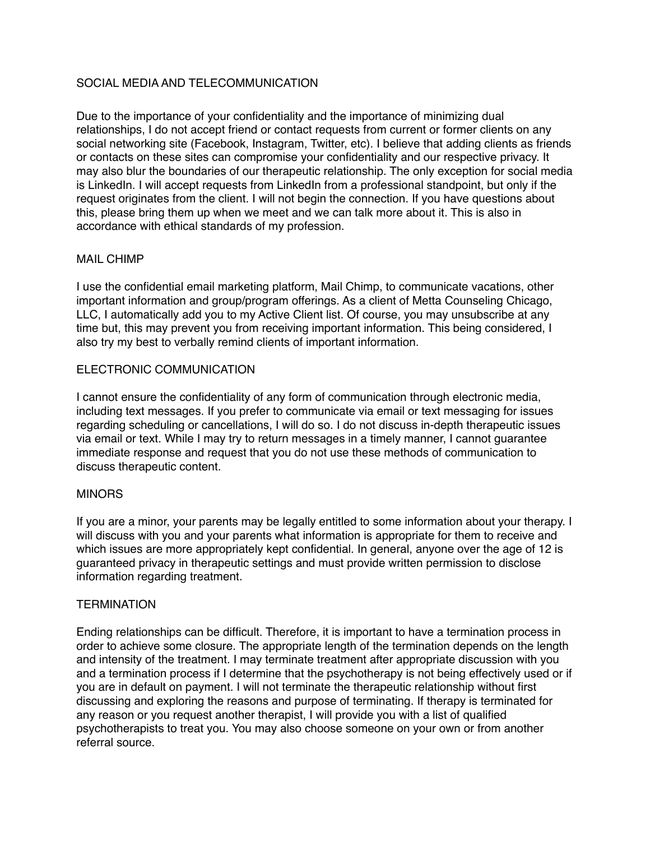# SOCIAL MEDIA AND TELECOMMUNICATION

Due to the importance of your confidentiality and the importance of minimizing dual relationships, I do not accept friend or contact requests from current or former clients on any social networking site (Facebook, Instagram, Twitter, etc). I believe that adding clients as friends or contacts on these sites can compromise your confidentiality and our respective privacy. It may also blur the boundaries of our therapeutic relationship. The only exception for social media is LinkedIn. I will accept requests from LinkedIn from a professional standpoint, but only if the request originates from the client. I will not begin the connection. If you have questions about this, please bring them up when we meet and we can talk more about it. This is also in accordance with ethical standards of my profession.

## MAIL CHIMP

I use the confidential email marketing platform, Mail Chimp, to communicate vacations, other important information and group/program offerings. As a client of Metta Counseling Chicago, LLC, I automatically add you to my Active Client list. Of course, you may unsubscribe at any time but, this may prevent you from receiving important information. This being considered, I also try my best to verbally remind clients of important information.

## ELECTRONIC COMMUNICATION

I cannot ensure the confidentiality of any form of communication through electronic media, including text messages. If you prefer to communicate via email or text messaging for issues regarding scheduling or cancellations, I will do so. I do not discuss in-depth therapeutic issues via email or text. While I may try to return messages in a timely manner, I cannot guarantee immediate response and request that you do not use these methods of communication to discuss therapeutic content.

## **MINORS**

If you are a minor, your parents may be legally entitled to some information about your therapy. I will discuss with you and your parents what information is appropriate for them to receive and which issues are more appropriately kept confidential. In general, anyone over the age of 12 is guaranteed privacy in therapeutic settings and must provide written permission to disclose information regarding treatment.

## **TERMINATION**

Ending relationships can be difficult. Therefore, it is important to have a termination process in order to achieve some closure. The appropriate length of the termination depends on the length and intensity of the treatment. I may terminate treatment after appropriate discussion with you and a termination process if I determine that the psychotherapy is not being effectively used or if you are in default on payment. I will not terminate the therapeutic relationship without first discussing and exploring the reasons and purpose of terminating. If therapy is terminated for any reason or you request another therapist, I will provide you with a list of qualified psychotherapists to treat you. You may also choose someone on your own or from another referral source.